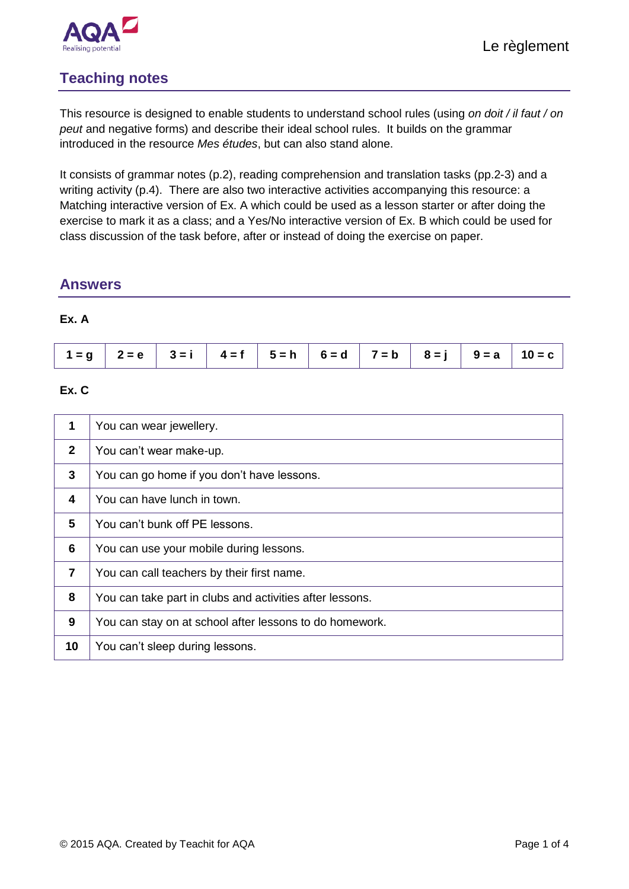

### **Teaching notes**

This resource is designed to enable students to understand school rules (using *on doit / il faut / on peut* and negative forms) and describe their ideal school rules. It builds on the grammar introduced in the resource *Mes études*, but can also stand alone.

It consists of grammar notes (p.2), reading comprehension and translation tasks (pp.2-3) and a writing activity (p.4). There are also two interactive activities accompanying this resource: a Matching interactive version of Ex. A which could be used as a lesson starter or after doing the exercise to mark it as a class; and a Yes/No interactive version of Ex. B which could be used for class discussion of the task before, after or instead of doing the exercise on paper.

### **Answers**

#### **Ex. A**

| $1 = g$ $2 = e$ $3 = i$ $4 = f$ $5 = h$ $6 = d$ $7 = b$ $8 = j$ $9 = a$ $10 = c$ |  |  |
|----------------------------------------------------------------------------------|--|--|
|----------------------------------------------------------------------------------|--|--|

### **Ex. C**

| 1            | You can wear jewellery.                                  |
|--------------|----------------------------------------------------------|
| $\mathbf{2}$ | You can't wear make-up.                                  |
| 3            | You can go home if you don't have lessons.               |
| 4            | You can have lunch in town.                              |
| 5            | You can't bunk off PE lessons.                           |
| 6            | You can use your mobile during lessons.                  |
| 7            | You can call teachers by their first name.               |
| 8            | You can take part in clubs and activities after lessons. |
| 9            | You can stay on at school after lessons to do homework.  |
| 10           | You can't sleep during lessons.                          |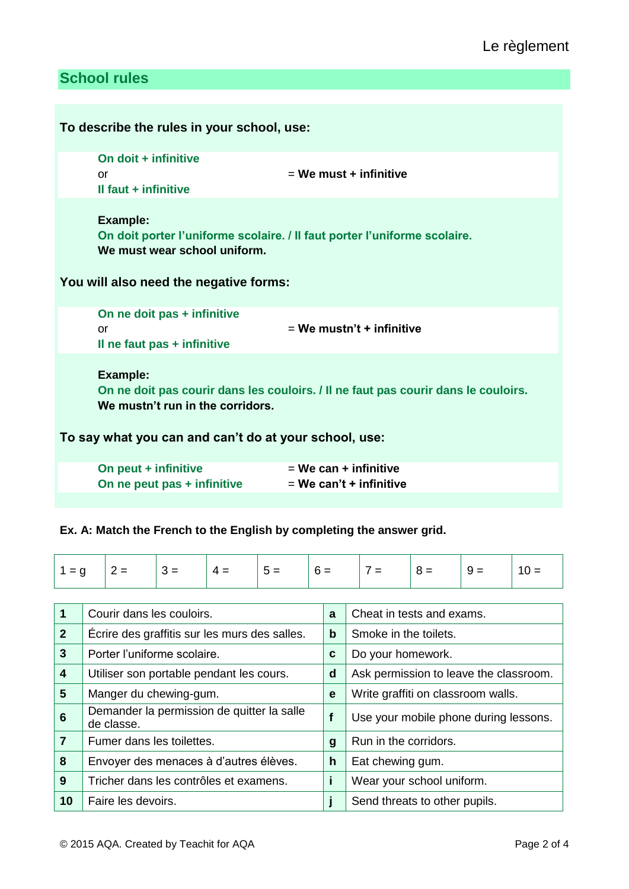## **School rules**

| To describe the rules in your school, use:                                                                   |                                                                                    |
|--------------------------------------------------------------------------------------------------------------|------------------------------------------------------------------------------------|
| On doit + infinitive<br>or<br>Il faut + infinitive                                                           | $=$ We must $+$ infinitive                                                         |
| <b>Example:</b><br>We must wear school uniform.<br>You will also need the negative forms:                    | On doit porter l'uniforme scolaire. / Il faut porter l'uniforme scolaire.          |
| On ne doit pas + infinitive<br>or<br>Il ne faut pas + infinitive                                             | $=$ We mustn't + infinitive                                                        |
| <b>Example:</b><br>We mustn't run in the corridors.<br>To say what you can and can't do at your school, use: | On ne doit pas courir dans les couloirs. / Il ne faut pas courir dans le couloirs. |
| On peut + infinitive<br>On ne peut pas + infinitive                                                          | $=$ We can $+$ infinitive<br>$=$ We can't + infinitive                             |

### **Ex. A: Match the French to the English by completing the answer grid.**

| $1 = q$ | $ 2 =  3 =$ |  | $ 4=$ | $ 5=$ | $  6 =$ | $ 7 =  8 =$ |  | $9 =$ | 10 = |
|---------|-------------|--|-------|-------|---------|-------------|--|-------|------|
|---------|-------------|--|-------|-------|---------|-------------|--|-------|------|

| $\overline{\mathbf{1}}$ | Courir dans les couloirs.                                | a           | Cheat in tests and exams.              |
|-------------------------|----------------------------------------------------------|-------------|----------------------------------------|
| $\overline{2}$          | Écrire des graffitis sur les murs des salles.            | b           | Smoke in the toilets.                  |
| $\mathbf{3}$            | Porter l'uniforme scolaire.                              | C           | Do your homework.                      |
| $\boldsymbol{4}$        | Utiliser son portable pendant les cours.                 | d           | Ask permission to leave the classroom. |
| $5\phantom{1}$          | Manger du chewing-gum.                                   | e           | Write graffiti on classroom walls.     |
| $6\phantom{1}6$         | Demander la permission de quitter la salle<br>de classe. | $\mathbf f$ | Use your mobile phone during lessons.  |
| $\overline{7}$          | Fumer dans les toilettes.                                | g           | Run in the corridors.                  |
| 8                       | Envoyer des menaces à d'autres élèves.                   | h           | Eat chewing gum.                       |
| 9                       | Tricher dans les contrôles et examens.                   |             | Wear your school uniform.              |
| 10                      | Faire les devoirs.                                       |             | Send threats to other pupils.          |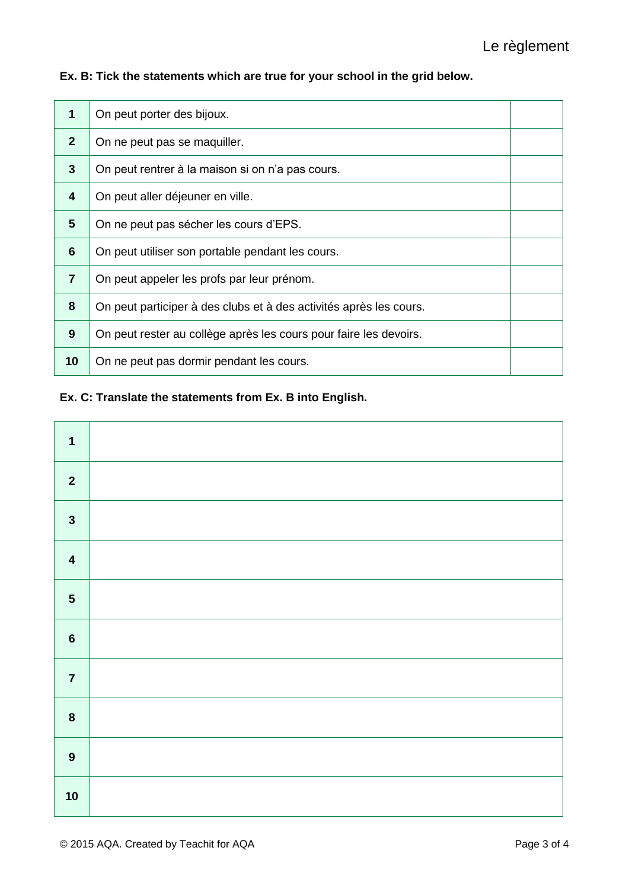**Ex. B: Tick the statements which are true for your school in the grid below.**

| 1               | On peut porter des bijoux.                                         |  |
|-----------------|--------------------------------------------------------------------|--|
| $\mathbf{2}$    | On ne peut pas se maquiller.                                       |  |
| 3               | On peut rentrer à la maison si on n'a pas cours.                   |  |
| 4               | On peut aller déjeuner en ville.                                   |  |
| $5\phantom{.0}$ | On ne peut pas sécher les cours d'EPS.                             |  |
| 6               | On peut utiliser son portable pendant les cours.                   |  |
| $\overline{7}$  | On peut appeler les profs par leur prénom.                         |  |
| 8               | On peut participer à des clubs et à des activités après les cours. |  |
| 9               | On peut rester au collège après les cours pour faire les devoirs.  |  |
| 10              | On ne peut pas dormir pendant les cours.                           |  |

### **Ex. C: Translate the statements from Ex. B into English.**

| $\mathbf{1}$            |  |
|-------------------------|--|
| $\overline{\mathbf{2}}$ |  |
| $\mathbf{3}$            |  |
| $\overline{\mathbf{4}}$ |  |
| $\overline{\mathbf{5}}$ |  |
| $\bf 6$                 |  |
| $\overline{7}$          |  |
| $\pmb{8}$               |  |
| $\boldsymbol{9}$        |  |
| 10                      |  |